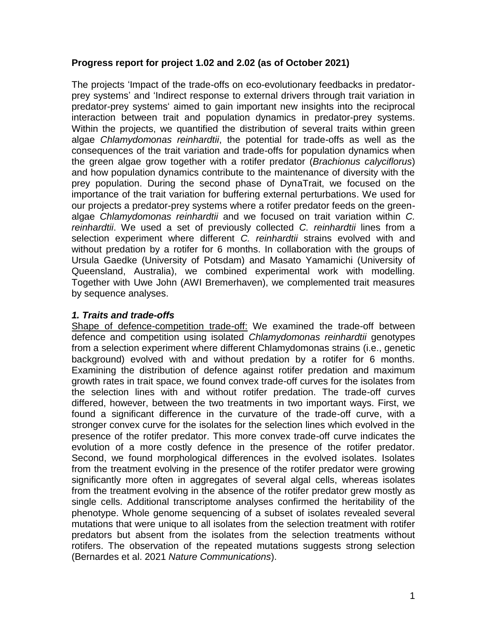# **Progress report for project 1.02 and 2.02 (as of October 2021)**

The projects 'Impact of the trade-offs on eco-evolutionary feedbacks in predatorprey systems' and 'Indirect response to external drivers through trait variation in predator-prey systems' aimed to gain important new insights into the reciprocal interaction between trait and population dynamics in predator-prey systems. Within the projects, we quantified the distribution of several traits within green algae *Chlamydomonas reinhardtii*, the potential for trade-offs as well as the consequences of the trait variation and trade-offs for population dynamics when the green algae grow together with a rotifer predator (*Brachionus calyciflorus*) and how population dynamics contribute to the maintenance of diversity with the prey population. During the second phase of DynaTrait, we focused on the importance of the trait variation for buffering external perturbations. We used for our projects a predator-prey systems where a rotifer predator feeds on the greenalgae *Chlamydomonas reinhardtii* and we focused on trait variation within *C. reinhardtii*. We used a set of previously collected *C. reinhardtii* lines from a selection experiment where different *C. reinhardtii* strains evolved with and without predation by a rotifer for 6 months. In collaboration with the groups of Ursula Gaedke (University of Potsdam) and Masato Yamamichi (University of Queensland, Australia), we combined experimental work with modelling. Together with Uwe John (AWI Bremerhaven), we complemented trait measures by sequence analyses.

## *1. Traits and trade-offs*

Shape of defence-competition trade-off: We examined the trade-off between defence and competition using isolated *Chlamydomonas reinhardtii* genotypes from a selection experiment where different Chlamydomonas strains (i.e., genetic background) evolved with and without predation by a rotifer for 6 months. Examining the distribution of defence against rotifer predation and maximum growth rates in trait space, we found convex trade-off curves for the isolates from the selection lines with and without rotifer predation. The trade-off curves differed, however, between the two treatments in two important ways. First, we found a significant difference in the curvature of the trade-off curve, with a stronger convex curve for the isolates for the selection lines which evolved in the presence of the rotifer predator. This more convex trade-off curve indicates the evolution of a more costly defence in the presence of the rotifer predator. Second, we found morphological differences in the evolved isolates. Isolates from the treatment evolving in the presence of the rotifer predator were growing significantly more often in aggregates of several algal cells, whereas isolates from the treatment evolving in the absence of the rotifer predator grew mostly as single cells. Additional transcriptome analyses confirmed the heritability of the phenotype. Whole genome sequencing of a subset of isolates revealed several mutations that were unique to all isolates from the selection treatment with rotifer predators but absent from the isolates from the selection treatments without rotifers. The observation of the repeated mutations suggests strong selection (Bernardes et al. 2021 *Nature Communications*).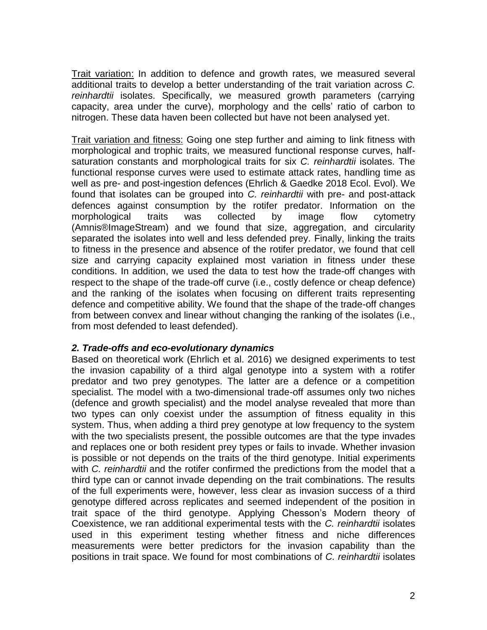Trait variation: In addition to defence and growth rates, we measured several additional traits to develop a better understanding of the trait variation across *C. reinhardtii* isolates. Specifically, we measured growth parameters (carrying capacity, area under the curve), morphology and the cells' ratio of carbon to nitrogen. These data haven been collected but have not been analysed yet.

Trait variation and fitness: Going one step further and aiming to link fitness with morphological and trophic traits, we measured functional response curves, halfsaturation constants and morphological traits for six *C. reinhardtii* isolates. The functional response curves were used to estimate attack rates, handling time as well as pre- and post-ingestion defences (Ehrlich & Gaedke 2018 Ecol. Evol). We found that isolates can be grouped into *C. reinhardtii* with pre- and post-attack defences against consumption by the rotifer predator. Information on the morphological traits was collected by image flow cytometry (Amnis®ImageStream) and we found that size, aggregation, and circularity separated the isolates into well and less defended prey. Finally, linking the traits to fitness in the presence and absence of the rotifer predator, we found that cell size and carrying capacity explained most variation in fitness under these conditions. In addition, we used the data to test how the trade-off changes with respect to the shape of the trade-off curve (i.e., costly defence or cheap defence) and the ranking of the isolates when focusing on different traits representing defence and competitive ability. We found that the shape of the trade-off changes from between convex and linear without changing the ranking of the isolates (i.e., from most defended to least defended).

### *2. Trade-offs and eco-evolutionary dynamics*

Based on theoretical work (Ehrlich et al. 2016) we designed experiments to test the invasion capability of a third algal genotype into a system with a rotifer predator and two prey genotypes. The latter are a defence or a competition specialist. The model with a two-dimensional trade-off assumes only two niches (defence and growth specialist) and the model analyse revealed that more than two types can only coexist under the assumption of fitness equality in this system. Thus, when adding a third prey genotype at low frequency to the system with the two specialists present, the possible outcomes are that the type invades and replaces one or both resident prey types or fails to invade. Whether invasion is possible or not depends on the traits of the third genotype. Initial experiments with *C. reinhardtii* and the rotifer confirmed the predictions from the model that a third type can or cannot invade depending on the trait combinations. The results of the full experiments were, however, less clear as invasion success of a third genotype differed across replicates and seemed independent of the position in trait space of the third genotype. Applying Chesson's Modern theory of Coexistence, we ran additional experimental tests with the *C. reinhardtii* isolates used in this experiment testing whether fitness and niche differences measurements were better predictors for the invasion capability than the positions in trait space. We found for most combinations of *C. reinhardtii* isolates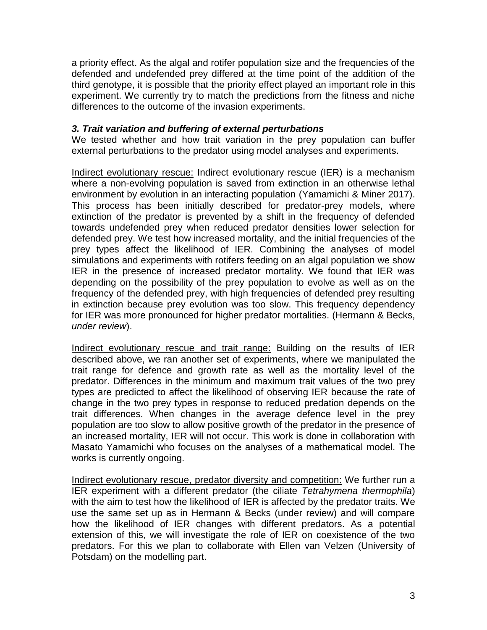a priority effect. As the algal and rotifer population size and the frequencies of the defended and undefended prey differed at the time point of the addition of the third genotype, it is possible that the priority effect played an important role in this experiment. We currently try to match the predictions from the fitness and niche differences to the outcome of the invasion experiments.

### *3. Trait variation and buffering of external perturbations*

We tested whether and how trait variation in the prey population can buffer external perturbations to the predator using model analyses and experiments.

Indirect evolutionary rescue: Indirect evolutionary rescue (IER) is a mechanism where a non-evolving population is saved from extinction in an otherwise lethal environment by evolution in an interacting population (Yamamichi & Miner 2017). This process has been initially described for predator-prey models, where extinction of the predator is prevented by a shift in the frequency of defended towards undefended prey when reduced predator densities lower selection for defended prey. We test how increased mortality, and the initial frequencies of the prey types affect the likelihood of IER. Combining the analyses of model simulations and experiments with rotifers feeding on an algal population we show IER in the presence of increased predator mortality. We found that IER was depending on the possibility of the prey population to evolve as well as on the frequency of the defended prey, with high frequencies of defended prey resulting in extinction because prey evolution was too slow. This frequency dependency for IER was more pronounced for higher predator mortalities. (Hermann & Becks, *under review*).

Indirect evolutionary rescue and trait range: Building on the results of IER described above, we ran another set of experiments, where we manipulated the trait range for defence and growth rate as well as the mortality level of the predator. Differences in the minimum and maximum trait values of the two prey types are predicted to affect the likelihood of observing IER because the rate of change in the two prey types in response to reduced predation depends on the trait differences. When changes in the average defence level in the prey population are too slow to allow positive growth of the predator in the presence of an increased mortality, IER will not occur. This work is done in collaboration with Masato Yamamichi who focuses on the analyses of a mathematical model. The works is currently ongoing.

Indirect evolutionary rescue, predator diversity and competition: We further run a IER experiment with a different predator (the ciliate *Tetrahymena thermophila*) with the aim to test how the likelihood of IER is affected by the predator traits. We use the same set up as in Hermann & Becks (under review) and will compare how the likelihood of IER changes with different predators. As a potential extension of this, we will investigate the role of IER on coexistence of the two predators. For this we plan to collaborate with Ellen van Velzen (University of Potsdam) on the modelling part.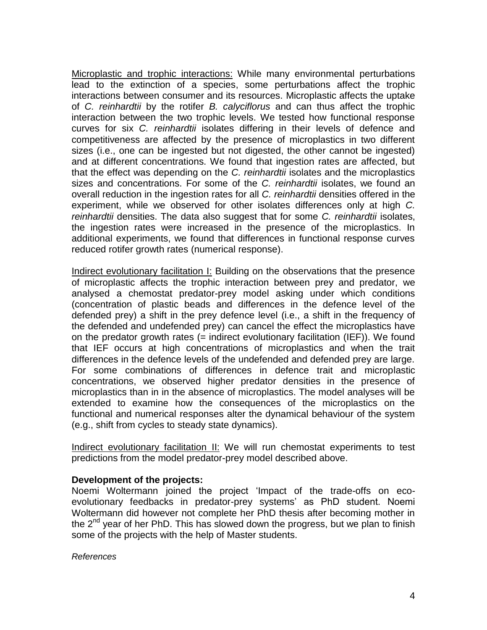Microplastic and trophic interactions: While many environmental perturbations lead to the extinction of a species, some perturbations affect the trophic interactions between consumer and its resources. Microplastic affects the uptake of *C. reinhardtii* by the rotifer *B. calyciflorus* and can thus affect the trophic interaction between the two trophic levels. We tested how functional response curves for six *C. reinhardtii* isolates differing in their levels of defence and competitiveness are affected by the presence of microplastics in two different sizes (i.e., one can be ingested but not digested, the other cannot be ingested) and at different concentrations. We found that ingestion rates are affected, but that the effect was depending on the *C. reinhardtii* isolates and the microplastics sizes and concentrations. For some of the *C. reinhardtii* isolates, we found an overall reduction in the ingestion rates for all *C. reinhardtii* densities offered in the experiment, while we observed for other isolates differences only at high *C. reinhardtii* densities. The data also suggest that for some *C. reinhardtii* isolates, the ingestion rates were increased in the presence of the microplastics. In additional experiments, we found that differences in functional response curves reduced rotifer growth rates (numerical response).

Indirect evolutionary facilitation I: Building on the observations that the presence of microplastic affects the trophic interaction between prey and predator, we analysed a chemostat predator-prey model asking under which conditions (concentration of plastic beads and differences in the defence level of the defended prey) a shift in the prey defence level (i.e., a shift in the frequency of the defended and undefended prey) can cancel the effect the microplastics have on the predator growth rates (= indirect evolutionary facilitation (IEF)). We found that IEF occurs at high concentrations of microplastics and when the trait differences in the defence levels of the undefended and defended prey are large. For some combinations of differences in defence trait and microplastic concentrations, we observed higher predator densities in the presence of microplastics than in in the absence of microplastics. The model analyses will be extended to examine how the consequences of the microplastics on the functional and numerical responses alter the dynamical behaviour of the system (e.g., shift from cycles to steady state dynamics).

Indirect evolutionary facilitation II: We will run chemostat experiments to test predictions from the model predator-prey model described above.

### **Development of the projects:**

Noemi Woltermann joined the project 'Impact of the trade-offs on ecoevolutionary feedbacks in predator-prey systems' as PhD student. Noemi Woltermann did however not complete her PhD thesis after becoming mother in the  $2<sup>nd</sup>$  year of her PhD. This has slowed down the progress, but we plan to finish some of the projects with the help of Master students.

*References*